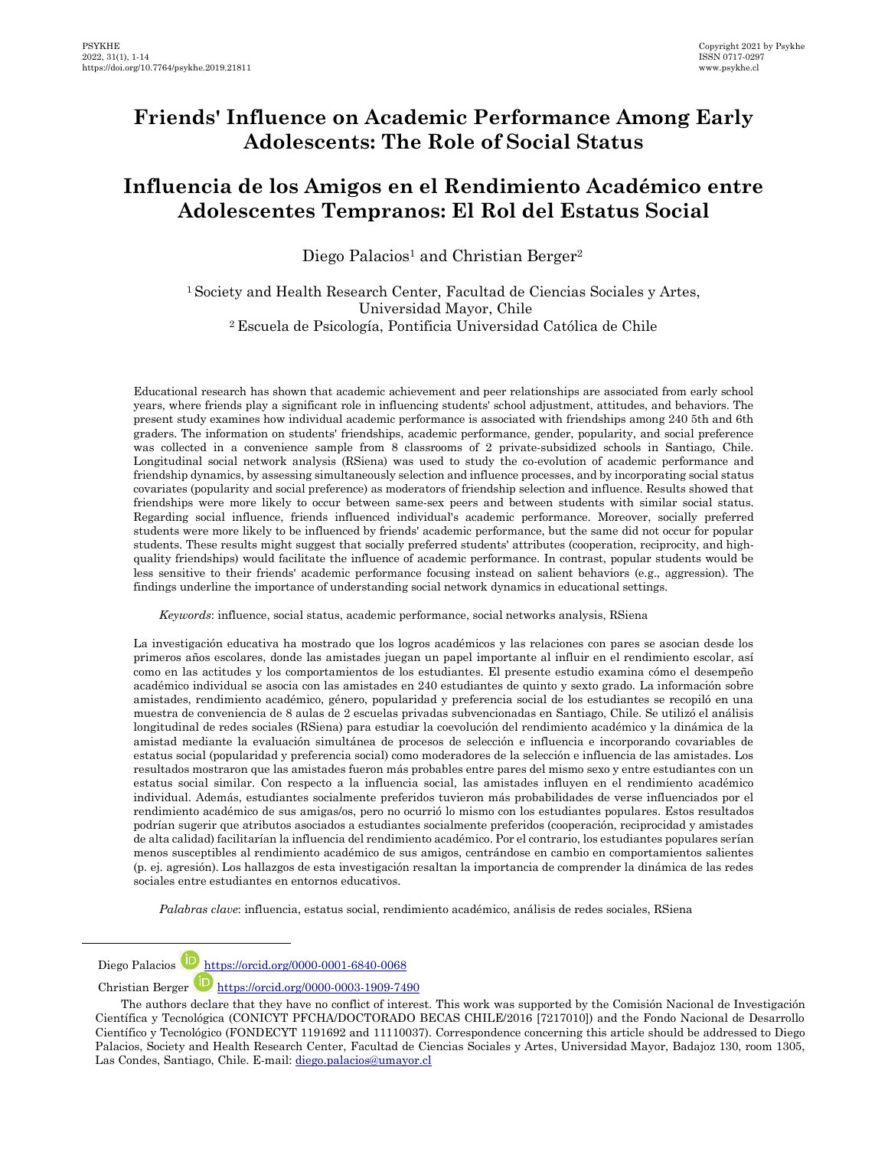# **Friends' Influence on Academic Performance Among Early Adolescents: The Role of Social Status**

# **Influencia de los Amigos en el Rendimiento Académico entre Adolescentes Tempranos: El Rol del Estatus Social**

Diego Palacios<sup>1</sup> and Christian Berger<sup>2</sup>

<sup>1</sup>Society and Health Research Center, Facultad de Ciencias Sociales y Artes, Universidad Mayor, Chile <sup>2</sup>Escuela de Psicología, Pontificia Universidad Católica de Chile

Educational research has shown that academic achievement and peer relationships are associated from early school years, where friends play a significant role in influencing students' school adjustment, attitudes, and behaviors. The present study examines how individual academic performance is associated with friendships among 240 5th and 6th graders. The information on students' friendships, academic performance, gender, popularity, and social preference was collected in a convenience sample from 8 classrooms of 2 private-subsidized schools in Santiago, Chile. Longitudinal social network analysis (RSiena) was used to study the co-evolution of academic performance and friendship dynamics, by assessing simultaneously selection and influence processes, and by incorporating social status covariates (popularity and social preference) as moderators of friendship selection and influence. Results showed that friendships were more likely to occur between same-sex peers and between students with similar social status. Regarding social influence, friends influenced individual's academic performance. Moreover, socially preferred students were more likely to be influenced by friends' academic performance, but the same did not occur for popular students. These results might suggest that socially preferred students' attributes (cooperation, reciprocity, and highquality friendships) would facilitate the influence of academic performance. In contrast, popular students would be less sensitive to their friends' academic performance focusing instead on salient behaviors (e.g., aggression). The findings underline the importance of understanding social network dynamics in educational settings.

*Keywords*: influence, social status, academic performance, social networks analysis, RSiena

La investigación educativa ha mostrado que los logros académicos y las relaciones con pares se asocian desde los primeros años escolares, donde las amistades juegan un papel importante al influir en el rendimiento escolar, así como en las actitudes y los comportamientos de los estudiantes. El presente estudio examina cómo el desempeño académico individual se asocia con las amistades en 240 estudiantes de quinto y sexto grado. La información sobre amistades, rendimiento académico, género, popularidad y preferencia social de los estudiantes se recopiló en una muestra de conveniencia de 8 aulas de 2 escuelas privadas subvencionadas en Santiago, Chile. Se utilizó el análisis longitudinal de redes sociales (RSiena) para estudiar la coevolución del rendimiento académico y la dinámica de la amistad mediante la evaluación simultánea de procesos de selección e influencia e incorporando covariables de estatus social (popularidad y preferencia social) como moderadores de la selección e influencia de las amistades. Los resultados mostraron que las amistades fueron más probables entre pares del mismo sexo y entre estudiantes con un estatus social similar. Con respecto a la influencia social, las amistades influyen en el rendimiento académico individual. Además, estudiantes socialmente preferidos tuvieron más probabilidades de verse influenciados por el rendimiento académico de sus amigas/os, pero no ocurrió lo mismo con los estudiantes populares. Estos resultados podrían sugerir que atributos asociados a estudiantes socialmente preferidos (cooperación, reciprocidad y amistades de alta calidad) facilitarían la influencia del rendimiento académico. Por el contrario, los estudiantes populares serían menos susceptibles al rendimiento académico de sus amigos, centrándose en cambio en comportamientos salientes (p. ej. agresión). Los hallazgos de esta investigación resaltan la importancia de comprender la dinámica de las redes sociales entre estudiantes en entornos educativos.

*Palabras clave*: influencia, estatus social, rendimiento académico, análisis de redes sociales, RSiena

Diego Palacios **D** https://orcid.org/0000-0001-6840-0068

l

Christian Berger **b** <https://orcid.org/0000-0003-1909-7490>

The authors declare that they have no conflict of interest. This work was supported by the Comisión Nacional de Investigación Científica y Tecnológica (CONICYT PFCHA/DOCTORADO BECAS CHILE/2016 [7217010]) and the Fondo Nacional de Desarrollo Científico y Tecnológico (FONDECYT 1191692 and 11110037). Correspondence concerning this article should be addressed to Diego Palacios, Society and Health Research Center, Facultad de Ciencias Sociales y Artes, Universidad Mayor, Badajoz 130, room 1305, Las Condes, Santiago, Chile. E-mail: diego.palacios@umayor.cl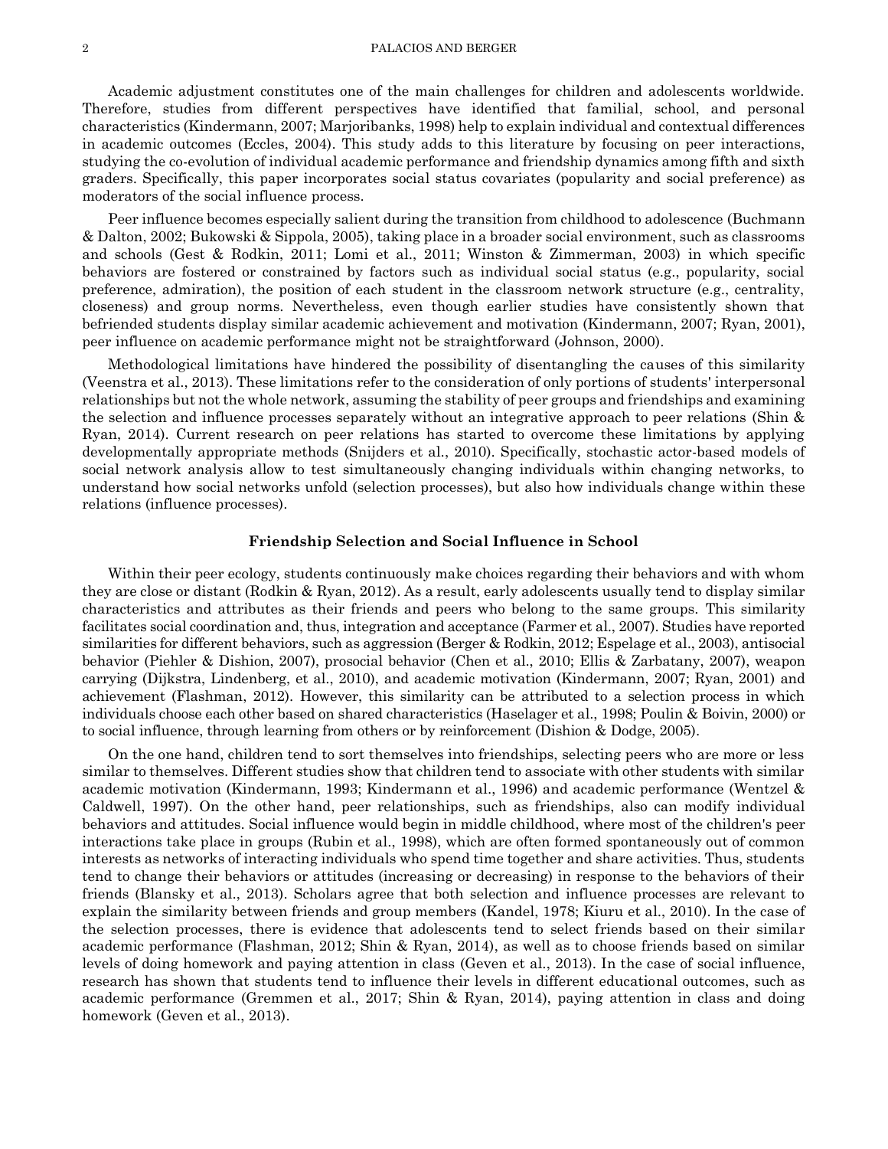Academic adjustment constitutes one of the main challenges for children and adolescents worldwide. Therefore, studies from different perspectives have identified that familial, school, and personal characteristics (Kindermann, 2007; Marjoribanks, 1998) help to explain individual and contextual differences in academic outcomes (Eccles, 2004). This study adds to this literature by focusing on peer interactions, studying the co-evolution of individual academic performance and friendship dynamics among fifth and sixth graders. Specifically, this paper incorporates social status covariates (popularity and social preference) as moderators of the social influence process.

Peer influence becomes especially salient during the transition from childhood to adolescence (Buchmann & Dalton, 2002; Bukowski & Sippola, 2005), taking place in a broader social environment, such as classrooms and schools (Gest & Rodkin, 2011; Lomi et al., 2011; Winston & Zimmerman, 2003) in which specific behaviors are fostered or constrained by factors such as individual social status (e.g., popularity, social preference, admiration), the position of each student in the classroom network structure (e.g., centrality, closeness) and group norms. Nevertheless, even though earlier studies have consistently shown that befriended students display similar academic achievement and motivation (Kindermann, 2007; Ryan, 2001), peer influence on academic performance might not be straightforward (Johnson, 2000).

Methodological limitations have hindered the possibility of disentangling the causes of this similarity (Veenstra et al., 2013). These limitations refer to the consideration of only portions of students' interpersonal relationships but not the whole network, assuming the stability of peer groups and friendships and examining the selection and influence processes separately without an integrative approach to peer relations (Shin & Ryan, 2014). Current research on peer relations has started to overcome these limitations by applying developmentally appropriate methods (Snijders et al., 2010). Specifically, stochastic actor-based models of social network analysis allow to test simultaneously changing individuals within changing networks, to understand how social networks unfold (selection processes), but also how individuals change within these relations (influence processes).

#### **Friendship Selection and Social Influence in School**

Within their peer ecology, students continuously make choices regarding their behaviors and with whom they are close or distant (Rodkin & Ryan, 2012). As a result, early adolescents usually tend to display similar characteristics and attributes as their friends and peers who belong to the same groups. This similarity facilitates social coordination and, thus, integration and acceptance (Farmer et al., 2007). Studies have reported similarities for different behaviors, such as aggression (Berger & Rodkin, 2012; Espelage et al., 2003), antisocial behavior (Piehler & Dishion, 2007), prosocial behavior (Chen et al., 2010; Ellis & Zarbatany, 2007), weapon carrying (Dijkstra, Lindenberg, et al., 2010), and academic motivation (Kindermann, 2007; Ryan, 2001) and achievement (Flashman, 2012). However, this similarity can be attributed to a selection process in which individuals choose each other based on shared characteristics (Haselager et al., 1998; Poulin & Boivin, 2000) or to social influence, through learning from others or by reinforcement (Dishion & Dodge, 2005).

On the one hand, children tend to sort themselves into friendships, selecting peers who are more or less similar to themselves. Different studies show that children tend to associate with other students with similar academic motivation (Kindermann, 1993; Kindermann et al., 1996) and academic performance (Wentzel & Caldwell, 1997). On the other hand, peer relationships, such as friendships, also can modify individual behaviors and attitudes. Social influence would begin in middle childhood, where most of the children's peer interactions take place in groups (Rubin et al., 1998), which are often formed spontaneously out of common interests as networks of interacting individuals who spend time together and share activities. Thus, students tend to change their behaviors or attitudes (increasing or decreasing) in response to the behaviors of their friends (Blansky et al., 2013). Scholars agree that both selection and influence processes are relevant to explain the similarity between friends and group members (Kandel, 1978; Kiuru et al., 2010). In the case of the selection processes, there is evidence that adolescents tend to select friends based on their similar academic performance (Flashman, 2012; Shin & Ryan, 2014), as well as to choose friends based on similar levels of doing homework and paying attention in class (Geven et al., 2013). In the case of social influence, research has shown that students tend to influence their levels in different educational outcomes, such as academic performance (Gremmen et al., 2017; Shin & Ryan, 2014), paying attention in class and doing homework (Geven et al., 2013).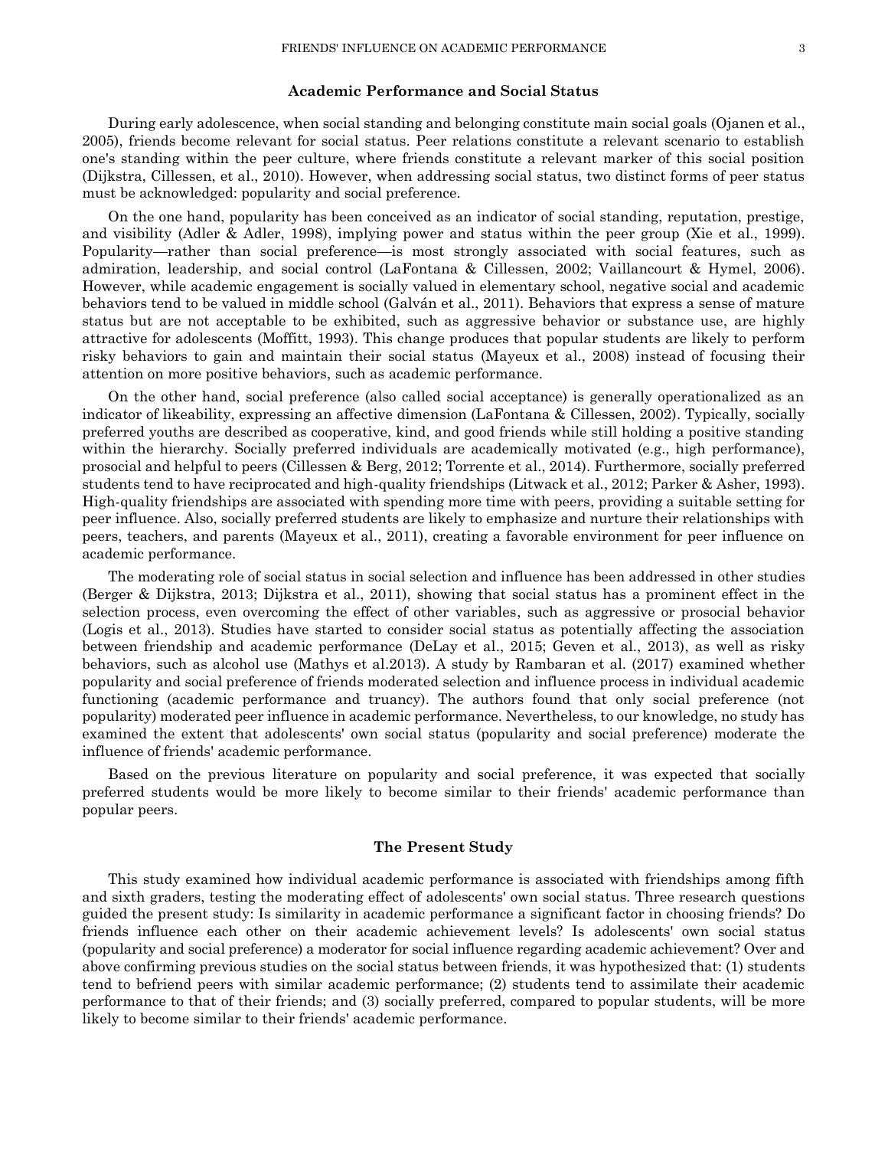## **Academic Performance and Social Status**

During early adolescence, when social standing and belonging constitute main social goals (Ojanen et al., 2005), friends become relevant for social status. Peer relations constitute a relevant scenario to establish one's standing within the peer culture, where friends constitute a relevant marker of this social position (Dijkstra, Cillessen, et al., 2010). However, when addressing social status, two distinct forms of peer status must be acknowledged: popularity and social preference.

On the one hand, popularity has been conceived as an indicator of social standing, reputation, prestige, and visibility (Adler & Adler, 1998), implying power and status within the peer group (Xie et al., 1999). Popularity—rather than social preference—is most strongly associated with social features, such as admiration, leadership, and social control (LaFontana & Cillessen, 2002; Vaillancourt & Hymel, 2006). However, while academic engagement is socially valued in elementary school, negative social and academic behaviors tend to be valued in middle school (Galván et al., 2011). Behaviors that express a sense of mature status but are not acceptable to be exhibited, such as aggressive behavior or substance use, are highly attractive for adolescents (Moffitt, 1993). This change produces that popular students are likely to perform risky behaviors to gain and maintain their social status (Mayeux et al., 2008) instead of focusing their attention on more positive behaviors, such as academic performance.

On the other hand, social preference (also called social acceptance) is generally operationalized as an indicator of likeability, expressing an affective dimension (LaFontana & Cillessen, 2002). Typically, socially preferred youths are described as cooperative, kind, and good friends while still holding a positive standing within the hierarchy. Socially preferred individuals are academically motivated (e.g., high performance), prosocial and helpful to peers (Cillessen & Berg, 2012; Torrente et al., 2014). Furthermore, socially preferred students tend to have reciprocated and high-quality friendships (Litwack et al., 2012; Parker & Asher, 1993). High-quality friendships are associated with spending more time with peers, providing a suitable setting for peer influence. Also, socially preferred students are likely to emphasize and nurture their relationships with peers, teachers, and parents (Mayeux et al., 2011), creating a favorable environment for peer influence on academic performance.

The moderating role of social status in social selection and influence has been addressed in other studies (Berger & Dijkstra, 2013; Dijkstra et al., 2011), showing that social status has a prominent effect in the selection process, even overcoming the effect of other variables, such as aggressive or prosocial behavior (Logis et al., 2013). Studies have started to consider social status as potentially affecting the association between friendship and academic performance (DeLay et al., 2015; Geven et al., 2013), as well as risky behaviors, such as alcohol use (Mathys et al.2013). A study by Rambaran et al. (2017) examined whether popularity and social preference of friends moderated selection and influence process in individual academic functioning (academic performance and truancy). The authors found that only social preference (not popularity) moderated peer influence in academic performance. Nevertheless, to our knowledge, no study has examined the extent that adolescents' own social status (popularity and social preference) moderate the influence of friends' academic performance.

Based on the previous literature on popularity and social preference, it was expected that socially preferred students would be more likely to become similar to their friends' academic performance than popular peers.

# **The Present Study**

This study examined how individual academic performance is associated with friendships among fifth and sixth graders, testing the moderating effect of adolescents' own social status. Three research questions guided the present study: Is similarity in academic performance a significant factor in choosing friends? Do friends influence each other on their academic achievement levels? Is adolescents' own social status (popularity and social preference) a moderator for social influence regarding academic achievement? Over and above confirming previous studies on the social status between friends, it was hypothesized that: (1) students tend to befriend peers with similar academic performance; (2) students tend to assimilate their academic performance to that of their friends; and (3) socially preferred, compared to popular students, will be more likely to become similar to their friends' academic performance.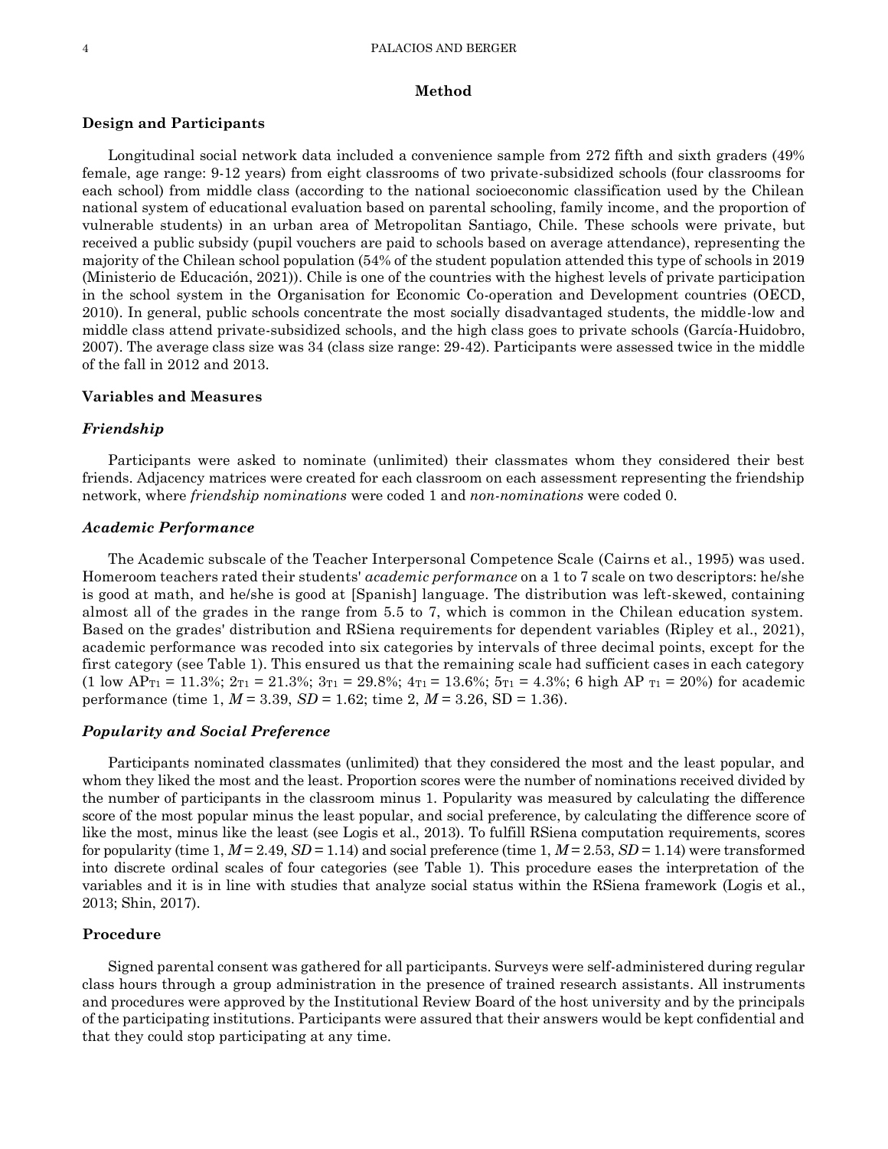#### 4 PALACIOS AND BERGER

#### **Method**

# **Design and Participants**

Longitudinal social network data included a convenience sample from 272 fifth and sixth graders (49% female, age range: 9-12 years) from eight classrooms of two private-subsidized schools (four classrooms for each school) from middle class (according to the national socioeconomic classification used by the Chilean national system of educational evaluation based on parental schooling, family income, and the proportion of vulnerable students) in an urban area of Metropolitan Santiago, Chile. These schools were private, but received a public subsidy (pupil vouchers are paid to schools based on average attendance), representing the majority of the Chilean school population (54% of the student population attended this type of schools in 2019 (Ministerio de Educación, 2021)). Chile is one of the countries with the highest levels of private participation in the school system in the Organisation for Economic Co-operation and Development countries (OECD, 2010). In general, public schools concentrate the most socially disadvantaged students, the middle-low and middle class attend private-subsidized schools, and the high class goes to private schools (García-Huidobro, 2007). The average class size was 34 (class size range: 29-42). Participants were assessed twice in the middle of the fall in 2012 and 2013.

#### **Variables and Measures**

## *Friendship*

Participants were asked to nominate (unlimited) their classmates whom they considered their best friends. Adjacency matrices were created for each classroom on each assessment representing the friendship network, where *friendship nominations* were coded 1 and *non-nominations* were coded 0.

#### *Academic Performance*

The Academic subscale of the Teacher Interpersonal Competence Scale (Cairns et al., 1995) was used. Homeroom teachers rated their students' *academic performance* on a 1 to 7 scale on two descriptors: he/she is good at math, and he/she is good at [Spanish] language. The distribution was left-skewed, containing almost all of the grades in the range from 5.5 to 7, which is common in the Chilean education system. Based on the grades' distribution and RSiena requirements for dependent variables (Ripley et al., 2021), academic performance was recoded into six categories by intervals of three decimal points, except for the first category (see Table 1). This ensured us that the remaining scale had sufficient cases in each category (1 low APT1 = 11.3%; 2T1 = 21.3%; 3T1 = 29.8%; 4T1 = 13.6%; 5T1 = 4.3%; 6 high AP T1 = 20%) for academic performance (time 1, *M* = 3.39, *SD* = 1.62; time 2, *M* = 3.26, SD = 1.36).

#### *Popularity and Social Preference*

Participants nominated classmates (unlimited) that they considered the most and the least popular, and whom they liked the most and the least. Proportion scores were the number of nominations received divided by the number of participants in the classroom minus 1. Popularity was measured by calculating the difference score of the most popular minus the least popular, and social preference, by calculating the difference score of like the most, minus like the least (see Logis et al., 2013). To fulfill RSiena computation requirements, scores for popularity (time  $1, M = 2.49, SD = 1.14$ ) and social preference (time  $1, M = 2.53, SD = 1.14$ ) were transformed into discrete ordinal scales of four categories (see Table 1). This procedure eases the interpretation of the variables and it is in line with studies that analyze social status within the RSiena framework (Logis et al., 2013; Shin, 2017).

## **Procedure**

Signed parental consent was gathered for all participants. Surveys were self-administered during regular class hours through a group administration in the presence of trained research assistants. All instruments and procedures were approved by the Institutional Review Board of the host university and by the principals of the participating institutions. Participants were assured that their answers would be kept confidential and that they could stop participating at any time.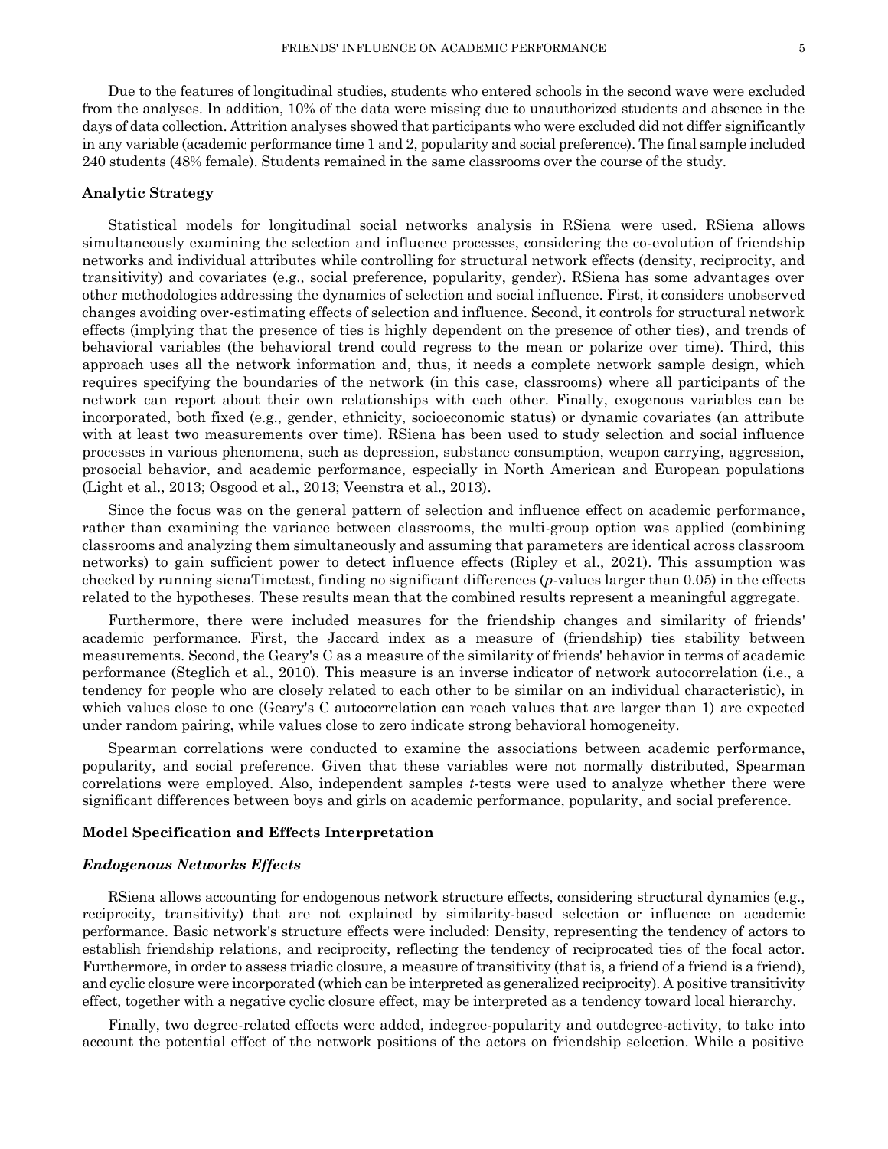Due to the features of longitudinal studies, students who entered schools in the second wave were excluded from the analyses. In addition, 10% of the data were missing due to unauthorized students and absence in the days of data collection. Attrition analyses showed that participants who were excluded did not differ significantly in any variable (academic performance time 1 and 2, popularity and social preference). The final sample included 240 students (48% female). Students remained in the same classrooms over the course of the study.

## **Analytic Strategy**

Statistical models for longitudinal social networks analysis in RSiena were used. RSiena allows simultaneously examining the selection and influence processes, considering the co-evolution of friendship networks and individual attributes while controlling for structural network effects (density, reciprocity, and transitivity) and covariates (e.g., social preference, popularity, gender). RSiena has some advantages over other methodologies addressing the dynamics of selection and social influence. First, it considers unobserved changes avoiding over-estimating effects of selection and influence. Second, it controls for structural network effects (implying that the presence of ties is highly dependent on the presence of other ties), and trends of behavioral variables (the behavioral trend could regress to the mean or polarize over time). Third, this approach uses all the network information and, thus, it needs a complete network sample design, which requires specifying the boundaries of the network (in this case, classrooms) where all participants of the network can report about their own relationships with each other. Finally, exogenous variables can be incorporated, both fixed (e.g., gender, ethnicity, socioeconomic status) or dynamic covariates (an attribute with at least two measurements over time). RSiena has been used to study selection and social influence processes in various phenomena, such as depression, substance consumption, weapon carrying, aggression, prosocial behavior, and academic performance, especially in North American and European populations (Light et al., 2013; Osgood et al., 2013; Veenstra et al., 2013).

Since the focus was on the general pattern of selection and influence effect on academic performance, rather than examining the variance between classrooms, the multi-group option was applied (combining classrooms and analyzing them simultaneously and assuming that parameters are identical across classroom networks) to gain sufficient power to detect influence effects (Ripley et al., 2021). This assumption was checked by running sienaTimetest, finding no significant differences (*p*-values larger than 0.05) in the effects related to the hypotheses. These results mean that the combined results represent a meaningful aggregate.

Furthermore, there were included measures for the friendship changes and similarity of friends' academic performance. First, the Jaccard index as a measure of (friendship) ties stability between measurements. Second, the Geary's C as a measure of the similarity of friends' behavior in terms of academic performance (Steglich et al., 2010). This measure is an inverse indicator of network autocorrelation (i.e., a tendency for people who are closely related to each other to be similar on an individual characteristic), in which values close to one (Geary's C autocorrelation can reach values that are larger than 1) are expected under random pairing, while values close to zero indicate strong behavioral homogeneity.

Spearman correlations were conducted to examine the associations between academic performance, popularity, and social preference. Given that these variables were not normally distributed, Spearman correlations were employed. Also, independent samples *t*-tests were used to analyze whether there were significant differences between boys and girls on academic performance, popularity, and social preference.

#### **Model Specification and Effects Interpretation**

#### *Endogenous Networks Effects*

RSiena allows accounting for endogenous network structure effects, considering structural dynamics (e.g., reciprocity, transitivity) that are not explained by similarity-based selection or influence on academic performance. Basic network's structure effects were included: Density, representing the tendency of actors to establish friendship relations, and reciprocity, reflecting the tendency of reciprocated ties of the focal actor. Furthermore, in order to assess triadic closure, a measure of transitivity (that is, a friend of a friend is a friend), and cyclic closure were incorporated (which can be interpreted as generalized reciprocity). A positive transitivity effect, together with a negative cyclic closure effect, may be interpreted as a tendency toward local hierarchy.

Finally, two degree-related effects were added, indegree-popularity and outdegree-activity, to take into account the potential effect of the network positions of the actors on friendship selection. While a positive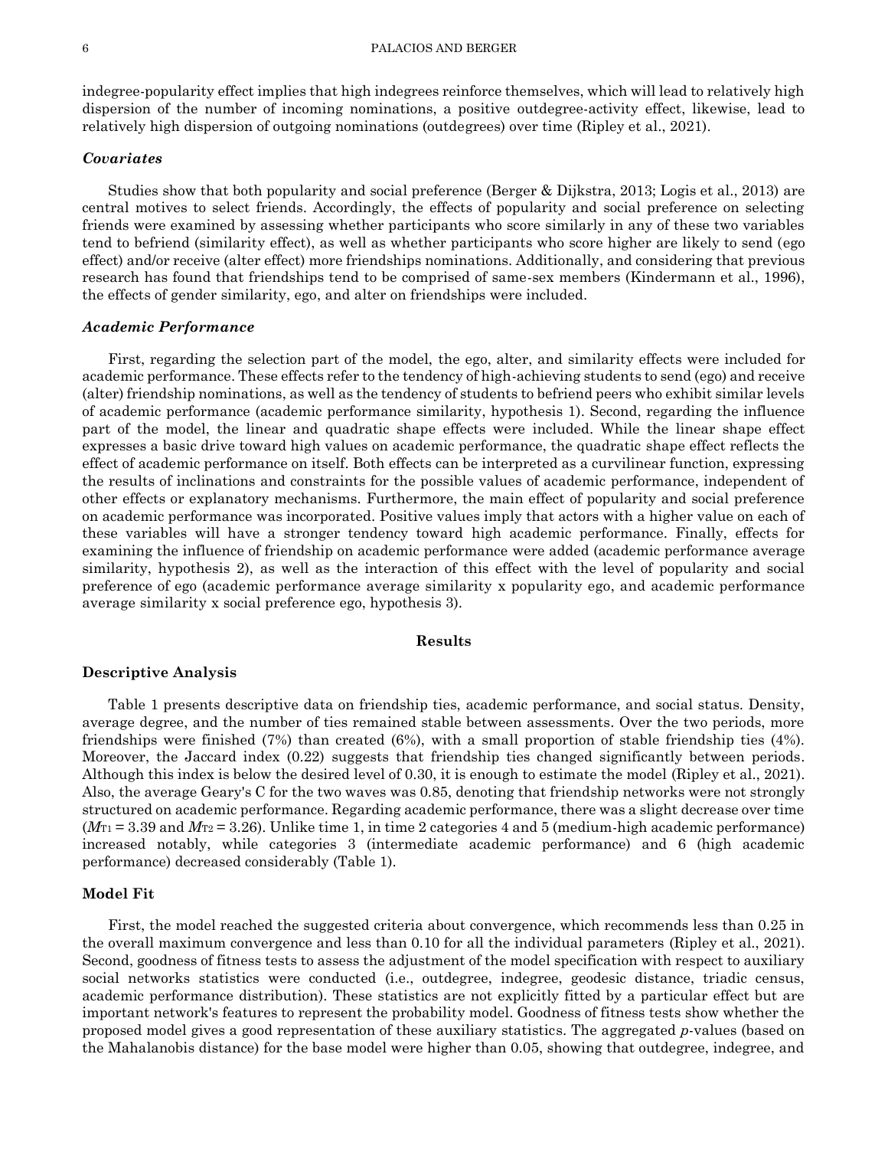indegree-popularity effect implies that high indegrees reinforce themselves, which will lead to relatively high dispersion of the number of incoming nominations, a positive outdegree-activity effect, likewise, lead to relatively high dispersion of outgoing nominations (outdegrees) over time (Ripley et al., 2021).

# *Covariates*

Studies show that both popularity and social preference (Berger & Dijkstra, 2013; Logis et al., 2013) are central motives to select friends. Accordingly, the effects of popularity and social preference on selecting friends were examined by assessing whether participants who score similarly in any of these two variables tend to befriend (similarity effect), as well as whether participants who score higher are likely to send (ego effect) and/or receive (alter effect) more friendships nominations. Additionally, and considering that previous research has found that friendships tend to be comprised of same-sex members (Kindermann et al., 1996), the effects of gender similarity, ego, and alter on friendships were included.

## *Academic Performance*

First, regarding the selection part of the model, the ego, alter, and similarity effects were included for academic performance. These effects refer to the tendency of high-achieving students to send (ego) and receive (alter) friendship nominations, as well as the tendency of students to befriend peers who exhibit similar levels of academic performance (academic performance similarity, hypothesis 1). Second, regarding the influence part of the model, the linear and quadratic shape effects were included. While the linear shape effect expresses a basic drive toward high values on academic performance, the quadratic shape effect reflects the effect of academic performance on itself. Both effects can be interpreted as a curvilinear function, expressing the results of inclinations and constraints for the possible values of academic performance, independent of other effects or explanatory mechanisms. Furthermore, the main effect of popularity and social preference on academic performance was incorporated. Positive values imply that actors with a higher value on each of these variables will have a stronger tendency toward high academic performance. Finally, effects for examining the influence of friendship on academic performance were added (academic performance average similarity, hypothesis 2), as well as the interaction of this effect with the level of popularity and social preference of ego (academic performance average similarity x popularity ego, and academic performance average similarity x social preference ego, hypothesis 3).

## **Results**

#### **Descriptive Analysis**

Table 1 presents descriptive data on friendship ties, academic performance, and social status. Density, average degree, and the number of ties remained stable between assessments. Over the two periods, more friendships were finished (7%) than created (6%), with a small proportion of stable friendship ties (4%). Moreover, the Jaccard index (0.22) suggests that friendship ties changed significantly between periods. Although this index is below the desired level of 0.30, it is enough to estimate the model (Ripley et al., 2021). Also, the average Geary's C for the two waves was 0.85, denoting that friendship networks were not strongly structured on academic performance. Regarding academic performance, there was a slight decrease over time  $(M_{\text{TI}} = 3.39$  and  $M_{\text{TI}} = 3.26$ ). Unlike time 1, in time 2 categories 4 and 5 (medium-high academic performance) increased notably, while categories 3 (intermediate academic performance) and 6 (high academic performance) decreased considerably (Table 1).

# **Model Fit**

First, the model reached the suggested criteria about convergence, which recommends less than 0.25 in the overall maximum convergence and less than 0.10 for all the individual parameters (Ripley et al., 2021). Second, goodness of fitness tests to assess the adjustment of the model specification with respect to auxiliary social networks statistics were conducted (i.e., outdegree, indegree, geodesic distance, triadic census, academic performance distribution). These statistics are not explicitly fitted by a particular effect but are important network's features to represent the probability model. Goodness of fitness tests show whether the proposed model gives a good representation of these auxiliary statistics. The aggregated *p*-values (based on the Mahalanobis distance) for the base model were higher than 0.05, showing that outdegree, indegree, and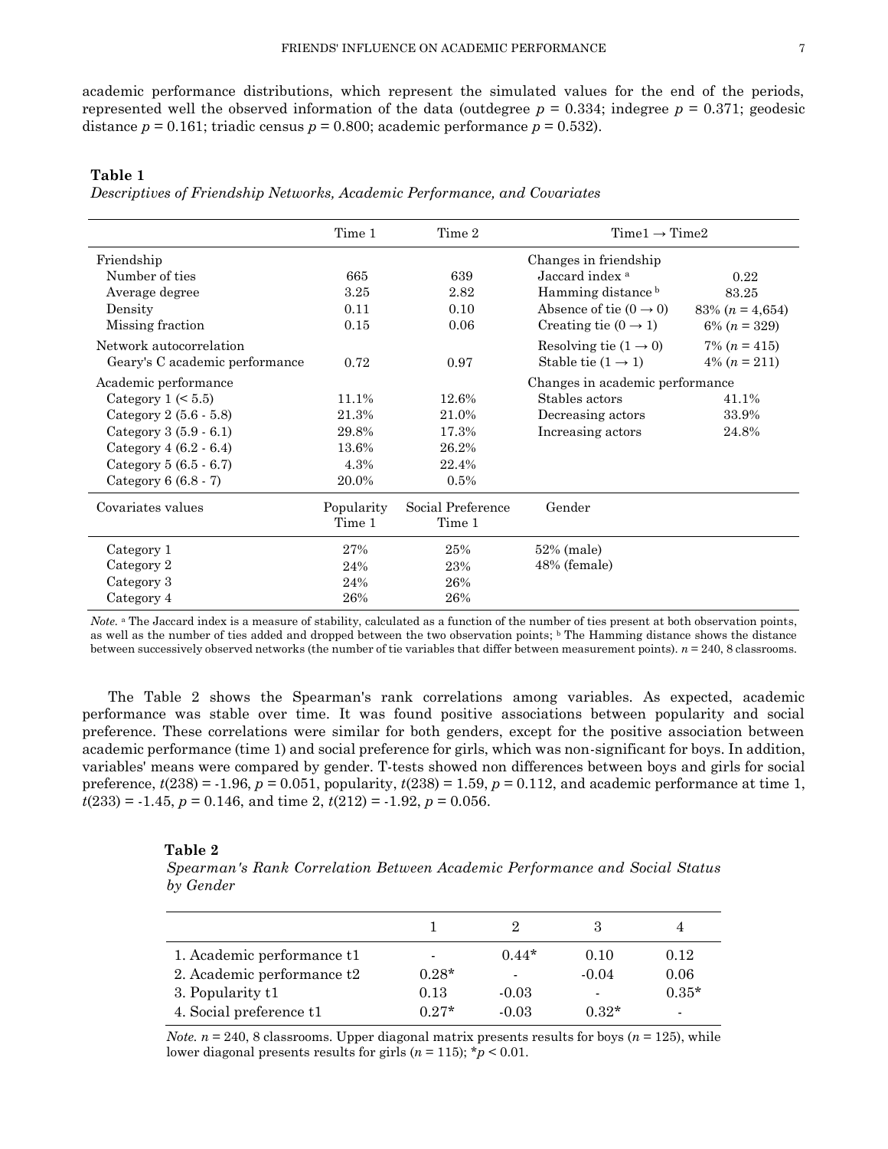academic performance distributions, which represent the simulated values for the end of the periods, represented well the observed information of the data (outdegree  $p = 0.334$ ; indegree  $p = 0.371$ ; geodesic distance  $p = 0.161$ ; triadic census  $p = 0.800$ ; academic performance  $p = 0.532$ ).

**Table 1**

*Descriptives of Friendship Networks, Academic Performance, and Covariates*

|                                | Time 1     | Time 2            | $Time1 \rightarrow Time2$          |                   |  |  |
|--------------------------------|------------|-------------------|------------------------------------|-------------------|--|--|
| Friendship                     |            |                   | Changes in friendship              |                   |  |  |
| Number of ties                 | 665        | 639               | Jaccard index <sup>a</sup>         | 0.22              |  |  |
| Average degree                 | 3.25       | 2.82              | Hamming distance b                 | 83.25             |  |  |
| Density                        | 0.11       | 0.10              | Absence of tie $(0 \rightarrow 0)$ | 83% $(n = 4,654)$ |  |  |
| Missing fraction               | 0.15       | 0.06              | Creating tie $(0 \rightarrow 1)$   | $6\% (n = 329)$   |  |  |
| Network autocorrelation        |            |                   | Resolving tie $(1 \rightarrow 0)$  | $7\% (n = 415)$   |  |  |
| Geary's C academic performance | 0.72       | 0.97              | Stable tie $(1 \rightarrow 1)$     | $4\% (n = 211)$   |  |  |
| Academic performance           |            |                   | Changes in academic performance    |                   |  |  |
| Category $1 \leq 5.5$          | 11.1%      | 12.6%             | Stables actors                     | 41.1%             |  |  |
| Category $2(5.6 - 5.8)$        | 21.3%      | 21.0%             | Decreasing actors                  | 33.9%             |  |  |
| Category $3(5.9 - 6.1)$        | 29.8%      | 17.3%             | Increasing actors                  | 24.8%             |  |  |
| Category $4(6.2 - 6.4)$        | 13.6%      | 26.2%             |                                    |                   |  |  |
| Category $5(6.5 - 6.7)$        | 4.3%       | 22.4%             |                                    |                   |  |  |
| Category $6(6.8-7)$            | 20.0%      | 0.5%              |                                    |                   |  |  |
| Covariates values              | Popularity | Social Preference | Gender                             |                   |  |  |
|                                | Time 1     | Time 1            |                                    |                   |  |  |
| Category 1                     | 27%        | 25%               | 52% (male)                         |                   |  |  |
| Category 2                     | 24%        | 23%               | 48% (female)                       |                   |  |  |
| Category 3                     | 24%        | 26%               |                                    |                   |  |  |
| Category 4                     | 26%        | 26%               |                                    |                   |  |  |

*Note.* <sup>a</sup> The Jaccard index is a measure of stability, calculated as a function of the number of ties present at both observation points, as well as the number of ties added and dropped between the two observation points; <sup>b</sup> The Hamming distance shows the distance between successively observed networks (the number of tie variables that differ between measurement points). *n* = 240, 8 classrooms.

The Table 2 shows the Spearman's rank correlations among variables. As expected, academic performance was stable over time. It was found positive associations between popularity and social preference. These correlations were similar for both genders, except for the positive association between academic performance (time 1) and social preference for girls, which was non-significant for boys. In addition, variables' means were compared by gender. T-tests showed non differences between boys and girls for social preference,  $t(238) = -1.96$ ,  $p = 0.051$ , popularity,  $t(238) = 1.59$ ,  $p = 0.112$ , and academic performance at time 1,  $t(233) = -1.45$ ,  $p = 0.146$ , and time 2,  $t(212) = -1.92$ ,  $p = 0.056$ .

#### **Table 2**

*Spearman's Rank Correlation Between Academic Performance and Social Status by Gender*

| 1. Academic performance t1 |         | $0.44*$        | 0.10           | 0.12           |
|----------------------------|---------|----------------|----------------|----------------|
| 2. Academic performance t2 | $0.28*$ | $\blacksquare$ | $-0.04$        | 0.06           |
| 3. Popularity t1           | 0.13    | $-0.03$        | $\blacksquare$ | $0.35*$        |
| 4. Social preference t1    | $0.27*$ | $-0.03$        | $0.32*$        | $\blacksquare$ |

*Note.*  $n = 240$ , 8 classrooms. Upper diagonal matrix presents results for boys ( $n = 125$ ), while lower diagonal presents results for girls  $(n = 115)$ ;  $\frac{1}{2}p < 0.01$ .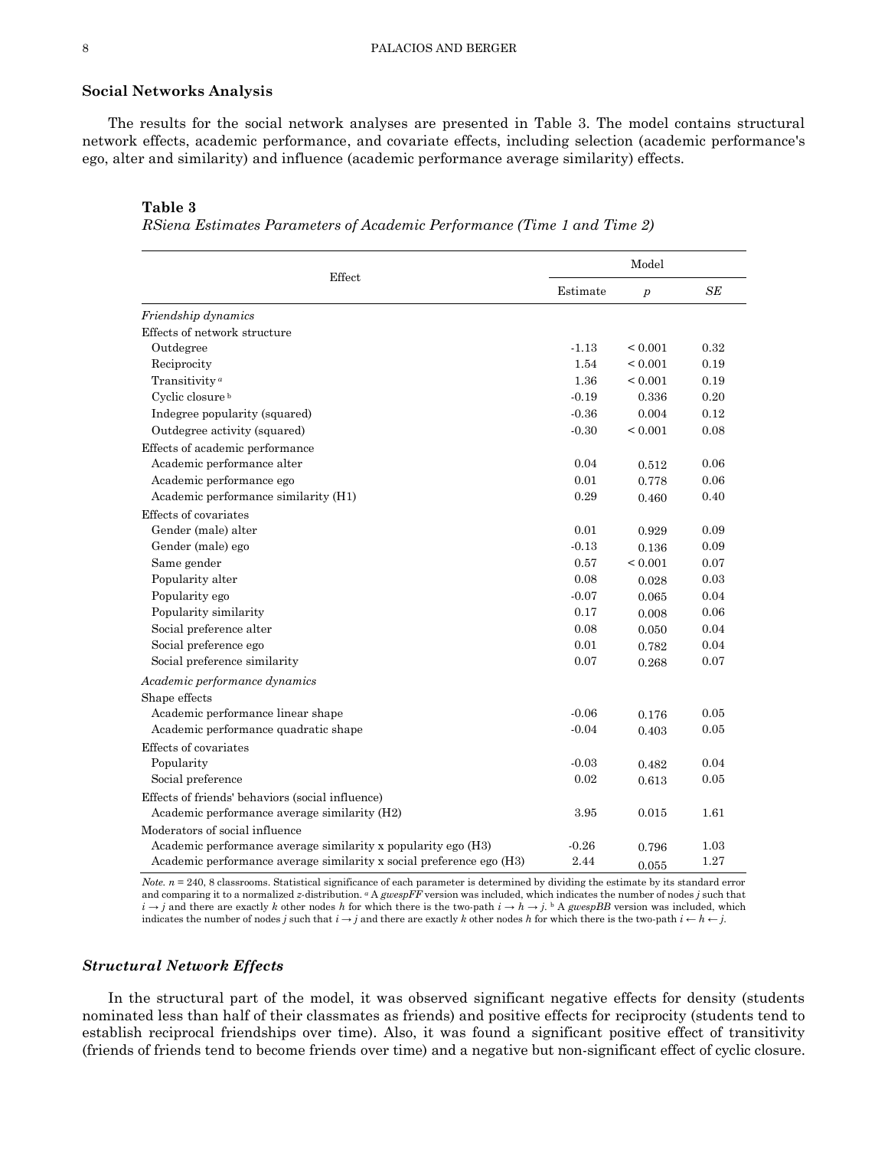#### **Social Networks Analysis**

The results for the social network analyses are presented in Table 3. The model contains structural network effects, academic performance, and covariate effects, including selection (academic performance's ego, alter and similarity) and influence (academic performance average similarity) effects.

#### **Table 3**

*RSiena Estimates Parameters of Academic Performance (Time 1 and Time 2)*

|                                                                      |          | Model            |      |
|----------------------------------------------------------------------|----------|------------------|------|
| Effect                                                               | Estimate | $\boldsymbol{p}$ | SE   |
| Friendship dynamics                                                  |          |                  |      |
| Effects of network structure                                         |          |                  |      |
| Outdegree                                                            | $-1.13$  | ${}_{0.001}$     | 0.32 |
| Reciprocity                                                          | 1.54     | ${}< 0.001$      | 0.19 |
| Transitivity <sup>a</sup>                                            | 1.36     | ${}_{0.001}$     | 0.19 |
| Cyclic closure <sup>b</sup>                                          | $-0.19$  | 0.336            | 0.20 |
| Indegree popularity (squared)                                        | $-0.36$  | 0.004            | 0.12 |
| Outdegree activity (squared)                                         | $-0.30$  | ${}< 0.001$      | 0.08 |
| Effects of academic performance                                      |          |                  |      |
| Academic performance alter                                           | 0.04     | 0.512            | 0.06 |
| Academic performance ego                                             | 0.01     | 0.778            | 0.06 |
| Academic performance similarity (H1)                                 | 0.29     | 0.460            | 0.40 |
| Effects of covariates                                                |          |                  |      |
| Gender (male) alter                                                  | 0.01     | 0.929            | 0.09 |
| Gender (male) ego                                                    | $-0.13$  | 0.136            | 0.09 |
| Same gender                                                          | 0.57     | ${}< 0.001$      | 0.07 |
| Popularity alter                                                     | 0.08     | 0.028            | 0.03 |
| Popularity ego                                                       | $-0.07$  | 0.065            | 0.04 |
| Popularity similarity                                                | 0.17     | 0.008            | 0.06 |
| Social preference alter                                              | 0.08     | 0.050            | 0.04 |
| Social preference ego                                                | 0.01     | 0.782            | 0.04 |
| Social preference similarity                                         | 0.07     | 0.268            | 0.07 |
| Academic performance dynamics                                        |          |                  |      |
| Shape effects                                                        |          |                  |      |
| Academic performance linear shape                                    | $-0.06$  | 0.176            | 0.05 |
| Academic performance quadratic shape                                 | $-0.04$  | 0.403            | 0.05 |
| Effects of covariates                                                |          |                  |      |
| Popularity                                                           | $-0.03$  | 0.482            | 0.04 |
| Social preference                                                    | 0.02     | 0.613            | 0.05 |
| Effects of friends' behaviors (social influence)                     |          |                  |      |
| Academic performance average similarity (H2)                         | 3.95     | 0.015            | 1.61 |
| Moderators of social influence                                       |          |                  |      |
| Academic performance average similarity x popularity ego (H3)        | $-0.26$  | 0.796            | 1.03 |
| Academic performance average similarity x social preference ego (H3) | 2.44     | 0.055            | 1.27 |

*Note.*  $n = 240$ , 8 classrooms. Statistical significance of each parameter is determined by dividing the estimate by its standard error and comparing it to a normalized *z*-distribution. *<sup>a</sup>* A *gwespFF* version was included, which indicates the number of nodes *j* such that  $i \rightarrow j$  and there are exactly k other nodes h for which there is the two-path  $i \rightarrow h \rightarrow j$ . <sup>b</sup> A *gwespBB* version was included, which indicates the number of nodes *j* such that  $i \rightarrow j$  and there are exactly *k* other nodes *h* for which there is the two-path  $i \leftarrow h \leftarrow j$ .

# *Structural Network Effects*

In the structural part of the model, it was observed significant negative effects for density (students nominated less than half of their classmates as friends) and positive effects for reciprocity (students tend to establish reciprocal friendships over time). Also, it was found a significant positive effect of transitivity (friends of friends tend to become friends over time) and a negative but non-significant effect of cyclic closure.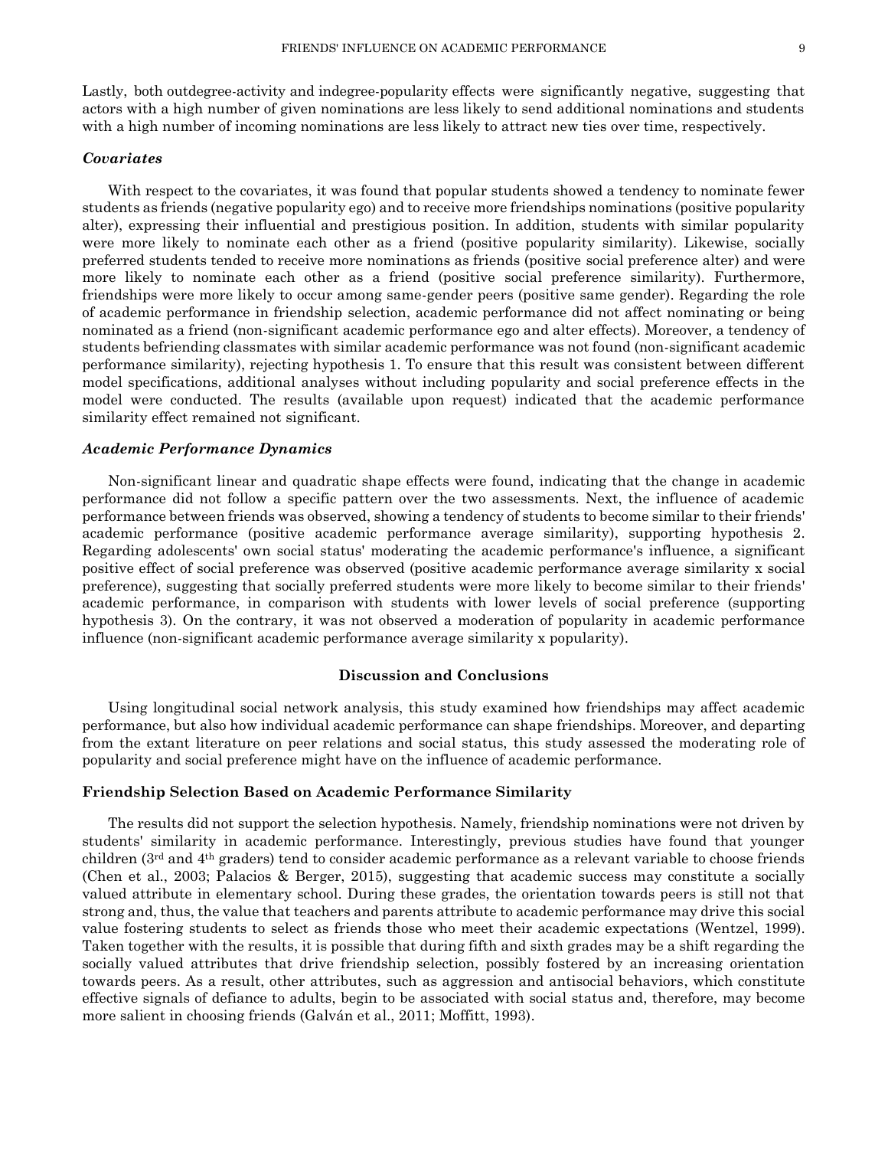Lastly, both outdegree-activity and indegree-popularity effects were significantly negative, suggesting that actors with a high number of given nominations are less likely to send additional nominations and students with a high number of incoming nominations are less likely to attract new ties over time, respectively.

## *Covariates*

With respect to the covariates, it was found that popular students showed a tendency to nominate fewer students as friends (negative popularity ego) and to receive more friendships nominations (positive popularity alter), expressing their influential and prestigious position. In addition, students with similar popularity were more likely to nominate each other as a friend (positive popularity similarity). Likewise, socially preferred students tended to receive more nominations as friends (positive social preference alter) and were more likely to nominate each other as a friend (positive social preference similarity). Furthermore, friendships were more likely to occur among same-gender peers (positive same gender). Regarding the role of academic performance in friendship selection, academic performance did not affect nominating or being nominated as a friend (non-significant academic performance ego and alter effects). Moreover, a tendency of students befriending classmates with similar academic performance was not found (non-significant academic performance similarity), rejecting hypothesis 1. To ensure that this result was consistent between different model specifications, additional analyses without including popularity and social preference effects in the model were conducted. The results (available upon request) indicated that the academic performance similarity effect remained not significant.

### *Academic Performance Dynamics*

Non-significant linear and quadratic shape effects were found, indicating that the change in academic performance did not follow a specific pattern over the two assessments. Next, the influence of academic performance between friends was observed, showing a tendency of students to become similar to their friends' academic performance (positive academic performance average similarity), supporting hypothesis 2. Regarding adolescents' own social status' moderating the academic performance's influence, a significant positive effect of social preference was observed (positive academic performance average similarity x social preference), suggesting that socially preferred students were more likely to become similar to their friends' academic performance, in comparison with students with lower levels of social preference (supporting hypothesis 3). On the contrary, it was not observed a moderation of popularity in academic performance influence (non-significant academic performance average similarity x popularity).

## **Discussion and Conclusions**

Using longitudinal social network analysis, this study examined how friendships may affect academic performance, but also how individual academic performance can shape friendships. Moreover, and departing from the extant literature on peer relations and social status, this study assessed the moderating role of popularity and social preference might have on the influence of academic performance.

# **Friendship Selection Based on Academic Performance Similarity**

The results did not support the selection hypothesis. Namely, friendship nominations were not driven by students' similarity in academic performance. Interestingly, previous studies have found that younger children (3rd and 4th graders) tend to consider academic performance as a relevant variable to choose friends (Chen et al., 2003; Palacios & Berger, 2015), suggesting that academic success may constitute a socially valued attribute in elementary school. During these grades, the orientation towards peers is still not that strong and, thus, the value that teachers and parents attribute to academic performance may drive this social value fostering students to select as friends those who meet their academic expectations (Wentzel, 1999). Taken together with the results, it is possible that during fifth and sixth grades may be a shift regarding the socially valued attributes that drive friendship selection, possibly fostered by an increasing orientation towards peers. As a result, other attributes, such as aggression and antisocial behaviors, which constitute effective signals of defiance to adults, begin to be associated with social status and, therefore, may become more salient in choosing friends (Galván et al., 2011; Moffitt, 1993).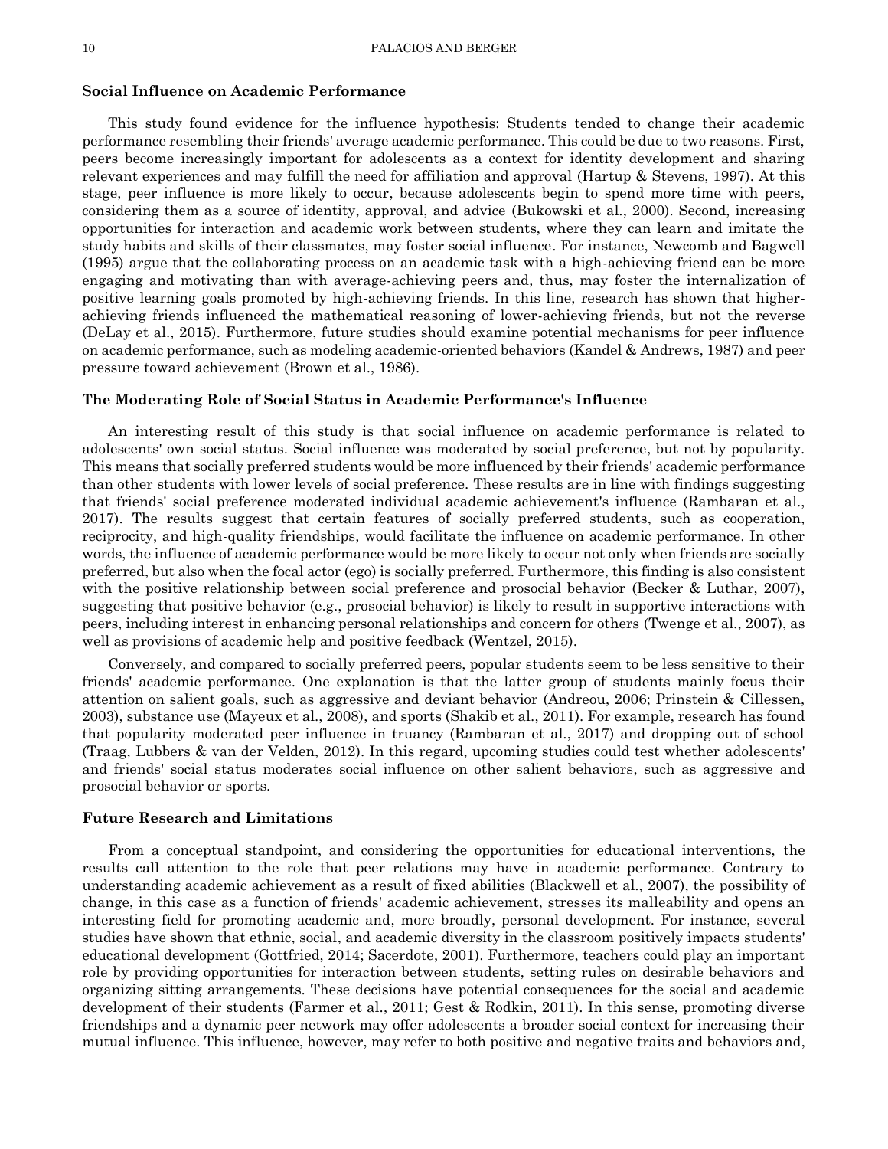### **Social Influence on Academic Performance**

This study found evidence for the influence hypothesis: Students tended to change their academic performance resembling their friends' average academic performance. This could be due to two reasons. First, peers become increasingly important for adolescents as a context for identity development and sharing relevant experiences and may fulfill the need for affiliation and approval (Hartup & Stevens, 1997). At this stage, peer influence is more likely to occur, because adolescents begin to spend more time with peers, considering them as a source of identity, approval, and advice (Bukowski et al., 2000). Second, increasing opportunities for interaction and academic work between students, where they can learn and imitate the study habits and skills of their classmates, may foster social influence. For instance, Newcomb and Bagwell (1995) argue that the collaborating process on an academic task with a high-achieving friend can be more engaging and motivating than with average-achieving peers and, thus, may foster the internalization of positive learning goals promoted by high-achieving friends. In this line, research has shown that higherachieving friends influenced the mathematical reasoning of lower-achieving friends, but not the reverse (DeLay et al., 2015). Furthermore, future studies should examine potential mechanisms for peer influence on academic performance, such as modeling academic-oriented behaviors (Kandel & Andrews, 1987) and peer pressure toward achievement (Brown et al., 1986).

## **The Moderating Role of Social Status in Academic Performance's Influence**

An interesting result of this study is that social influence on academic performance is related to adolescents' own social status. Social influence was moderated by social preference, but not by popularity. This means that socially preferred students would be more influenced by their friends' academic performance than other students with lower levels of social preference. These results are in line with findings suggesting that friends' social preference moderated individual academic achievement's influence (Rambaran et al., 2017). The results suggest that certain features of socially preferred students, such as cooperation, reciprocity, and high-quality friendships, would facilitate the influence on academic performance. In other words, the influence of academic performance would be more likely to occur not only when friends are socially preferred, but also when the focal actor (ego) is socially preferred. Furthermore, this finding is also consistent with the positive relationship between social preference and prosocial behavior (Becker & Luthar, 2007), suggesting that positive behavior (e.g., prosocial behavior) is likely to result in supportive interactions with peers, including interest in enhancing personal relationships and concern for others (Twenge et al., 2007), as well as provisions of academic help and positive feedback (Wentzel, 2015).

Conversely, and compared to socially preferred peers, popular students seem to be less sensitive to their friends' academic performance. One explanation is that the latter group of students mainly focus their attention on salient goals, such as aggressive and deviant behavior (Andreou, 2006; Prinstein & Cillessen, 2003), substance use (Mayeux et al., 2008), and sports (Shakib et al., 2011). For example, research has found that popularity moderated peer influence in truancy (Rambaran et al., 2017) and dropping out of school (Traag, Lubbers & van der Velden, 2012). In this regard, upcoming studies could test whether adolescents' and friends' social status moderates social influence on other salient behaviors, such as aggressive and prosocial behavior or sports.

#### **Future Research and Limitations**

From a conceptual standpoint, and considering the opportunities for educational interventions, the results call attention to the role that peer relations may have in academic performance. Contrary to understanding academic achievement as a result of fixed abilities (Blackwell et al., 2007), the possibility of change, in this case as a function of friends' academic achievement, stresses its malleability and opens an interesting field for promoting academic and, more broadly, personal development. For instance, several studies have shown that ethnic, social, and academic diversity in the classroom positively impacts students' educational development (Gottfried, 2014; Sacerdote, 2001). Furthermore, teachers could play an important role by providing opportunities for interaction between students, setting rules on desirable behaviors and organizing sitting arrangements. These decisions have potential consequences for the social and academic development of their students (Farmer et al., 2011; Gest & Rodkin, 2011). In this sense, promoting diverse friendships and a dynamic peer network may offer adolescents a broader social context for increasing their mutual influence. This influence, however, may refer to both positive and negative traits and behaviors and,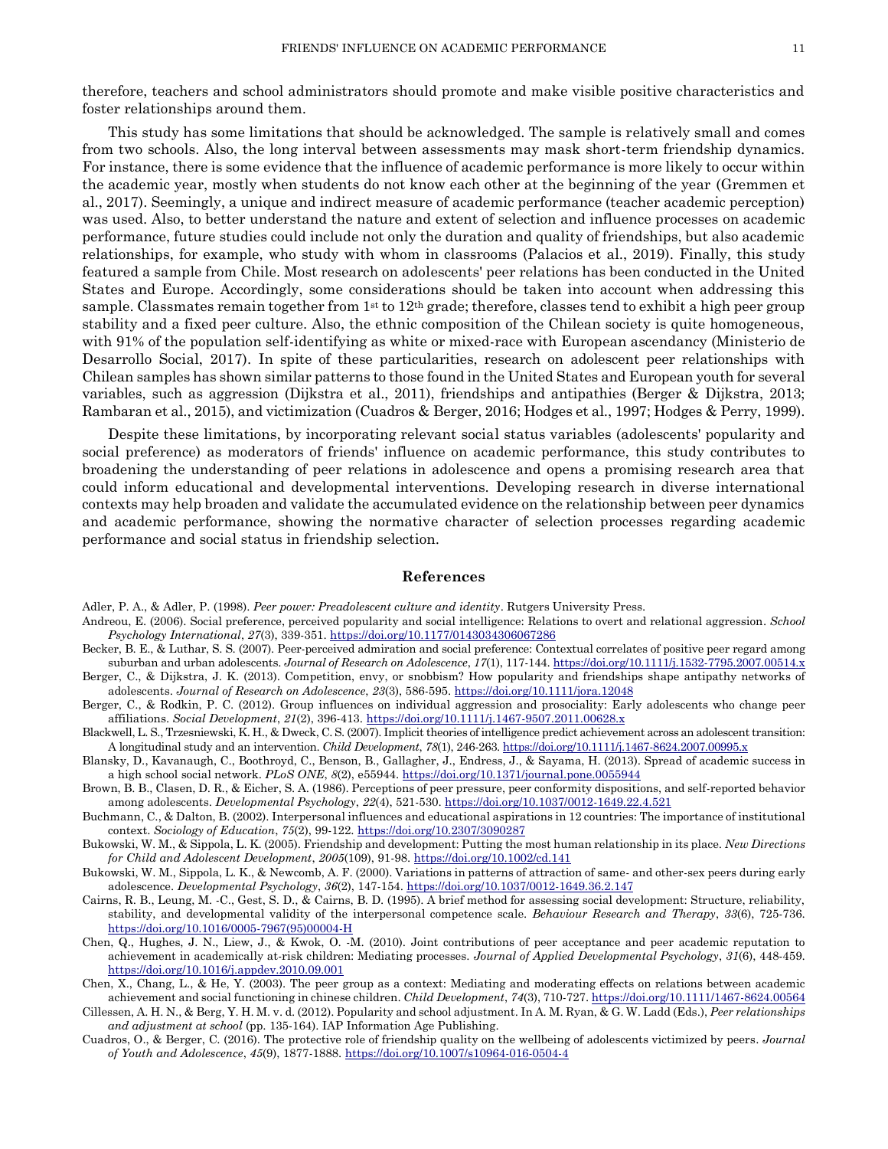therefore, teachers and school administrators should promote and make visible positive characteristics and foster relationships around them.

This study has some limitations that should be acknowledged. The sample is relatively small and comes from two schools. Also, the long interval between assessments may mask short-term friendship dynamics. For instance, there is some evidence that the influence of academic performance is more likely to occur within the academic year, mostly when students do not know each other at the beginning of the year (Gremmen et al., 2017). Seemingly, a unique and indirect measure of academic performance (teacher academic perception) was used. Also, to better understand the nature and extent of selection and influence processes on academic performance, future studies could include not only the duration and quality of friendships, but also academic relationships, for example, who study with whom in classrooms (Palacios et al., 2019). Finally, this study featured a sample from Chile. Most research on adolescents' peer relations has been conducted in the United States and Europe. Accordingly, some considerations should be taken into account when addressing this sample. Classmates remain together from  $1<sup>st</sup>$  to  $12<sup>th</sup>$  grade; therefore, classes tend to exhibit a high peer group stability and a fixed peer culture. Also, the ethnic composition of the Chilean society is quite homogeneous, with 91% of the population self-identifying as white or mixed-race with European ascendancy (Ministerio de Desarrollo Social, 2017). In spite of these particularities, research on adolescent peer relationships with Chilean samples has shown similar patterns to those found in the United States and European youth for several variables, such as aggression (Dijkstra et al., 2011), friendships and antipathies (Berger & Dijkstra, 2013; Rambaran et al., 2015), and victimization (Cuadros & Berger, 2016; Hodges et al., 1997; Hodges & Perry, 1999).

Despite these limitations, by incorporating relevant social status variables (adolescents' popularity and social preference) as moderators of friends' influence on academic performance, this study contributes to broadening the understanding of peer relations in adolescence and opens a promising research area that could inform educational and developmental interventions. Developing research in diverse international contexts may help broaden and validate the accumulated evidence on the relationship between peer dynamics and academic performance, showing the normative character of selection processes regarding academic performance and social status in friendship selection.

#### **References**

Adler, P. A., & Adler, P. (1998). *Peer power: Preadolescent culture and identity*. Rutgers University Press.

- Andreou, E. (2006). Social preference, perceived popularity and social intelligence: Relations to overt and relational aggression. *School Psychology International*, *27*(3), 339-351[. https://doi.org/10.1177/0143034306067286](https://doi.org/10.1177/0143034306067286)
- Becker, B. E., & Luthar, S. S. (2007). Peer-perceived admiration and social preference: Contextual correlates of positive peer regard among suburban and urban adolescents. *Journal of Research on Adolescence*, *17*(1), 117-144[. https://doi.org/10.1111/j.1532-7795.2007.00514.x](https://doi.org/10.1111/j.1532-7795.2007.00514.x)
- Berger, C., & Dijkstra, J. K. (2013). Competition, envy, or snobbism? How popularity and friendships shape antipathy networks of adolescents. *Journal of Research on Adolescence*, *23*(3), 586-595[. https://doi.org/10.1111/jora.12048](https://doi.org/10.1111/jora.12048)
- Berger, C., & Rodkin, P. C. (2012). Group influences on individual aggression and prosociality: Early adolescents who change peer affiliations. *Social Development*, *21*(2), 396-413[. https://doi.org/10.1111/j.1467-9507.2011.00628.x](https://doi.org/10.1111/j.1467-9507.2011.00628.x)
- Blackwell, L. S., Trzesniewski, K. H., & Dweck, C. S. (2007). Implicit theories of intelligence predict achievement across an adolescent transition: A longitudinal study and an intervention. *Child Development*, *78*(1), 246-263[. https://doi.org/10.1111/j.1467-8624.2007.00995.x](https://doi.org/10.1111/j.1467-8624.2007.00995.x)
- Blansky, D., Kavanaugh, C., Boothroyd, C., Benson, B., Gallagher, J., Endress, J., & Sayama, H. (2013). Spread of academic success in a high school social network. *PLoS ONE*, *8*(2), e55944[. https://doi.org/10.1371/journal.pone.0055944](https://doi.org/10.1371/journal.pone.0055944)
- Brown, B. B., Clasen, D. R., & Eicher, S. A. (1986). Perceptions of peer pressure, peer conformity dispositions, and self-reported behavior among adolescents. *Developmental Psychology*, *22*(4), 521-530[. https://doi.org/10.1037/0012-1649.22.4.521](https://doi.org/10.1037/0012-1649.22.4.521)
- Buchmann, C., & Dalton, B. (2002). Interpersonal influences and educational aspirations in 12 countries: The importance of institutional context. *Sociology of Education*, *75*(2), 99-122[. https://doi.org/10.2307/3090287](https://doi.org/10.2307/3090287)
- Bukowski, W. M., & Sippola, L. K. (2005). Friendship and development: Putting the most human relationship in its place. *New Directions for Child and Adolescent Development*, *2005*(109), 91-98[. https://doi.org/10.1002/cd.141](https://doi.org/10.1002/cd.141)
- Bukowski, W. M., Sippola, L. K., & Newcomb, A. F. (2000). Variations in patterns of attraction of same- and other-sex peers during early adolescence. *Developmental Psychology*, *36*(2), 147-154[. https://doi.org/10.1037/0012-1649.36.2.147](https://doi.org/10.1037/0012-1649.36.2.147)
- Cairns, R. B., Leung, M. -C., Gest, S. D., & Cairns, B. D. (1995). A brief method for assessing social development: Structure, reliability, stability, and developmental validity of the interpersonal competence scale. *Behaviour Research and Therapy*, *33*(6), 725-736. [https://doi.org/10.1016/0005-7967\(95\)00004-H](https://doi.org/10.1016/0005-7967(95)00004-H)
- Chen, Q., Hughes, J. N., Liew, J., & Kwok, O. -M. (2010). Joint contributions of peer acceptance and peer academic reputation to achievement in academically at-risk children: Mediating processes. *Journal of Applied Developmental Psychology*, *31*(6), 448-459. <https://doi.org/10.1016/j.appdev.2010.09.001>
- Chen, X., Chang, L., & He, Y. (2003). The peer group as a context: Mediating and moderating effects on relations between academic achievement and social functioning in chinese children. *Child Development*, *74*(3), 710-727[. https://doi.org/10.1111/1467-8624.00564](https://doi.org/10.1111/1467-8624.00564)
- Cillessen, A. H. N., & Berg, Y. H. M. v. d. (2012). Popularity and school adjustment. In A. M. Ryan, & G. W. Ladd (Eds.), *Peer relationships and adjustment at school* (pp. 135-164). IAP Information Age Publishing.
- Cuadros, O., & Berger, C. (2016). The protective role of friendship quality on the wellbeing of adolescents victimized by peers. *Journal of Youth and Adolescence*, *45*(9), 1877-1888.<https://doi.org/10.1007/s10964-016-0504-4>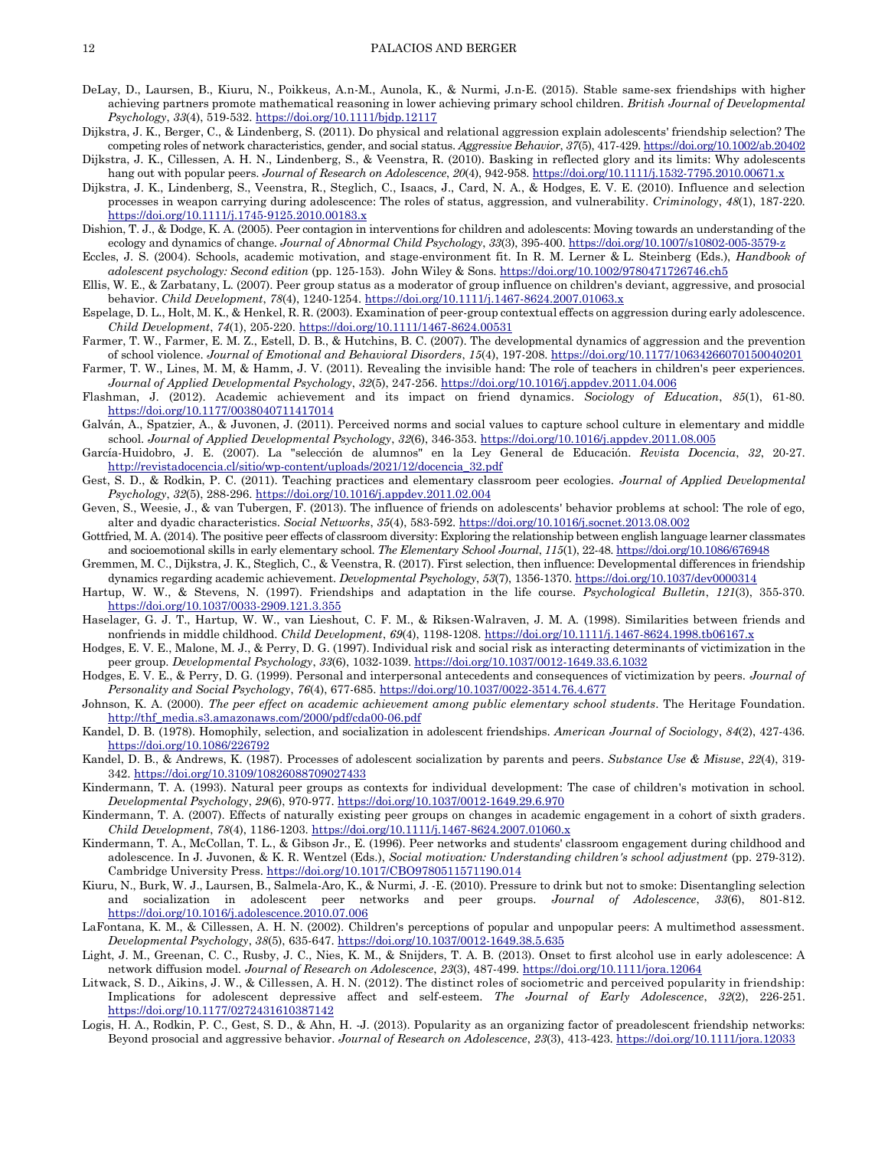- DeLay, D., Laursen, B., Kiuru, N., Poikkeus, A.n-M., Aunola, K., & Nurmi, J.n-E. (2015). Stable same-sex friendships with higher achieving partners promote mathematical reasoning in lower achieving primary school children. *British Journal of Developmental Psychology*, *33*(4), 519-532.<https://doi.org/10.1111/bjdp.12117>
- Dijkstra, J. K., Berger, C., & Lindenberg, S. (2011). Do physical and relational aggression explain adolescents' friendship selection? The competing roles of network characteristics, gender, and social status. *Aggressive Behavior*, *37*(5), 417-429[. https://doi.org/10.1002/ab.20402](https://doi.org/10.1002/ab.20402) Dijkstra, J. K., Cillessen, A. H. N., Lindenberg, S., & Veenstra, R. (2010). Basking in reflected glory and its limits: Why adolescents
- hang out with popular peers. *Journal of Research on Adolescence*, *20*(4), 942-958[. https://doi.org/10.1111/j.1532-7795.2010.00671.x](https://doi.org/10.1111/j.1532-7795.2010.00671.x)
- Dijkstra, J. K., Lindenberg, S., Veenstra, R., Steglich, C., Isaacs, J., Card, N. A., & Hodges, E. V. E. (2010). Influence and selection processes in weapon carrying during adolescence: The roles of status, aggression, and vulnerability. *Criminology*, *48*(1), 187-220. <https://doi.org/10.1111/j.1745-9125.2010.00183.x>
- Dishion, T. J., & Dodge, K. A. (2005). Peer contagion in interventions for children and adolescents: Moving towards an understanding of the ecology and dynamics of change. *Journal of Abnormal Child Psychology*, *33*(3), 395-400. <https://doi.org/10.1007/s10802-005-3579-z>
- Eccles, J. S. (2004). Schools, academic motivation, and stage-environment fit. In R. M. Lerner & L. Steinberg (Eds.), *Handbook of adolescent psychology: Second edition* (pp. 125-153). John Wiley & Sons. <https://doi.org/10.1002/9780471726746.ch5>
- Ellis, W. E., & Zarbatany, L. (2007). Peer group status as a moderator of group influence on children's deviant, aggressive, and prosocial behavior. *Child Development*, *78*(4), 1240-1254[. https://doi.org/10.1111/j.1467-8624.2007.01063.x](https://doi.org/10.1111/j.1467-8624.2007.01063.x)
- Espelage, D. L., Holt, M. K., & Henkel, R. R. (2003). Examination of peer-group contextual effects on aggression during early adolescence. *Child Development*, *74*(1), 205-220.<https://doi.org/10.1111/1467-8624.00531>
- Farmer, T. W., Farmer, E. M. Z., Estell, D. B., & Hutchins, B. C. (2007). The developmental dynamics of aggression and the prevention of school violence. *Journal of Emotional and Behavioral Disorders*, *15*(4), 197-208.<https://doi.org/10.1177/10634266070150040201>
- Farmer, T. W., Lines, M. M, & Hamm, J. V. (2011). Revealing the invisible hand: The role of teachers in children's peer experiences. *Journal of Applied Developmental Psychology*, *32*(5), 247-256.<https://doi.org/10.1016/j.appdev.2011.04.006>
- Flashman, J. (2012). Academic achievement and its impact on friend dynamics. *Sociology of Education*, *85*(1), 61-80. <https://doi.org/10.1177/0038040711417014>
- Galván, A., Spatzier, A., & Juvonen, J. (2011). Perceived norms and social values to capture school culture in elementary and middle school. *Journal of Applied Developmental Psychology*, *32*(6), 346-353[. https://doi.org/10.1016/j.appdev.2011.08.005](https://doi.org/10.1016/j.appdev.2011.08.005)
- García-Huidobro, J. E. (2007). La "selección de alumnos" en la Ley General de Educación. *Revista Docencia*, *32*, 20-27. [http://revistadocencia.cl/sitio/wp-content/uploads/2021/12/docencia\\_32.pdf](http://revistadocencia.cl/sitio/wp-content/uploads/2021/12/docencia_32.pdf)
- Gest, S. D., & Rodkin, P. C. (2011). Teaching practices and elementary classroom peer ecologies. *Journal of Applied Developmental Psychology*, *32*(5), 288-296. <https://doi.org/10.1016/j.appdev.2011.02.004>
- Geven, S., Weesie, J., & van Tubergen, F. (2013). The influence of friends on adolescents' behavior problems at school: The role of ego, alter and dyadic characteristics. *Social Networks*, *35*(4), 583-592[. https://doi.org/10.1016/j.socnet.2013.08.002](https://doi.org/10.1016/j.socnet.2013.08.002)
- Gottfried, M. A. (2014). The positive peer effects of classroom diversity: Exploring the relationship between english language learner classmates and socioemotional skills in early elementary school. *The Elementary School Journal*, *115*(1), 22-48[. https://doi.org/10.1086/676948](https://doi.org/10.1086/676948)
- Gremmen, M. C., Dijkstra, J. K., Steglich, C., & Veenstra, R. (2017). First selection, then influence: Developmental differences in friendship dynamics regarding academic achievement. *Developmental Psychology*, *53*(7), 1356-1370[. https://doi.org/10.1037/dev0000314](https://doi.org/10.1037/dev0000314)
- Hartup, W. W., & Stevens, N. (1997). Friendships and adaptation in the life course. *Psychological Bulletin*, *121*(3), 355-370. <https://doi.org/10.1037/0033-2909.121.3.355>
- Haselager, G. J. T., Hartup, W. W., van Lieshout, C. F. M., & Riksen-Walraven, J. M. A. (1998). Similarities between friends and nonfriends in middle childhood. *Child Development*, *69*(4), 1198-1208.<https://doi.org/10.1111/j.1467-8624.1998.tb06167.x>
- Hodges, E. V. E., Malone, M. J., & Perry, D. G. (1997). Individual risk and social risk as interacting determinants of victimization in the peer group. *Developmental Psychology*, *33*(6), 1032-1039. <https://doi.org/10.1037/0012-1649.33.6.1032>
- Hodges, E. V. E., & Perry, D. G. (1999). Personal and interpersonal antecedents and consequences of victimization by peers. *Journal of Personality and Social Psychology*, *76*(4), 677-685. <https://doi.org/10.1037/0022-3514.76.4.677>
- Johnson, K. A. (2000). *The peer effect on academic achievement among public elementary school students*. The Heritage Foundation. [http://thf\\_media.s3.amazonaws.com/2000/pdf/cda00-06.pdf](http://thf_media.s3.amazonaws.com/2000/pdf/cda00-06.pdf)
- Kandel, D. B. (1978). Homophily, selection, and socialization in adolescent friendships. *American Journal of Sociology*, *84*(2), 427-436. <https://doi.org/10.1086/226792>
- Kandel, D. B., & Andrews, K. (1987). Processes of adolescent socialization by parents and peers. *Substance Use & Misuse*, *22*(4), 319- 342[. https://doi.org/10.3109/10826088709027433](https://doi.org/10.3109/10826088709027433)
- Kindermann, T. A. (1993). Natural peer groups as contexts for individual development: The case of children's motivation in school. *Developmental Psychology*, *29*(6), 970-977.<https://doi.org/10.1037/0012-1649.29.6.970>
- Kindermann, T. A. (2007). Effects of naturally existing peer groups on changes in academic engagement in a cohort of sixth graders. *Child Development*, *78*(4), 1186-1203.<https://doi.org/10.1111/j.1467-8624.2007.01060.x>
- Kindermann, T. A., McCollan, T. L., & Gibson Jr., E. (1996). Peer networks and students' classroom engagement during childhood and adolescence. In J. Juvonen, & K. R. Wentzel (Eds.), *Social motivation: Understanding children's school adjustment* (pp. 279-312). Cambridge University Press. [https://doi.org/10.1017/CBO9780511571190.014](https://psycnet.apa.org/doi/10.1017/CBO9780511571190.014)
- Kiuru, N., Burk, W. J., Laursen, B., Salmela-Aro, K., & Nurmi, J. -E. (2010). Pressure to drink but not to smoke: Disentangling selection and socialization in adolescent peer networks and peer groups. *Journal of Adolescence*, *33*(6), 801-812. <https://doi.org/10.1016/j.adolescence.2010.07.006>
- LaFontana, K. M., & Cillessen, A. H. N. (2002). Children's perceptions of popular and unpopular peers: A multimethod assessment. *Developmental Psychology*, *38*(5), 635-647.<https://doi.org/10.1037/0012-1649.38.5.635>
- Light, J. M., Greenan, C. C., Rusby, J. C., Nies, K. M., & Snijders, T. A. B. (2013). Onset to first alcohol use in early adolescence: A network diffusion model. *Journal of Research on Adolescence*, *23*(3), 487-499. <https://doi.org/10.1111/jora.12064>
- Litwack, S. D., Aikins, J. W., & Cillessen, A. H. N. (2012). The distinct roles of sociometric and perceived popularity in friendship: Implications for adolescent depressive affect and self-esteem. *The Journal of Early Adolescence*, *32*(2), 226-251. <https://doi.org/10.1177/0272431610387142>
- Logis, H. A., Rodkin, P. C., Gest, S. D., & Ahn, H. -J. (2013). Popularity as an organizing factor of preadolescent friendship networks: Beyond prosocial and aggressive behavior. *Journal of Research on Adolescence*, *23*(3), 413-423.<https://doi.org/10.1111/jora.12033>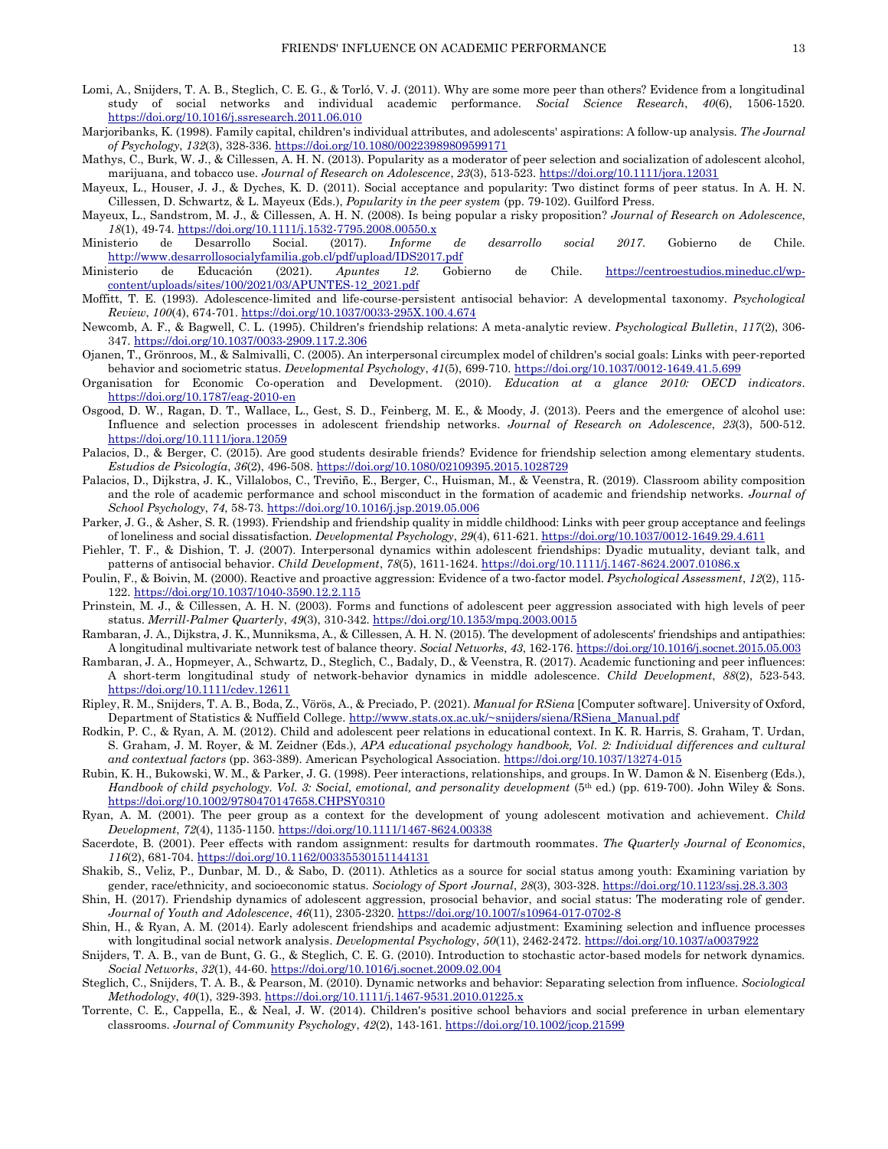- Lomi, A., Snijders, T. A. B., Steglich, C. E. G., & Torló, V. J. (2011). Why are some more peer than others? Evidence from a longitudinal study of social networks and individual academic performance. *Social Science Research*, *40*(6), 1506-1520. <https://doi.org/10.1016/j.ssresearch.2011.06.010>
- Marjoribanks, K. (1998). Family capital, children's individual attributes, and adolescents' aspirations: A follow-up analysis. *The Journal of Psychology*, *132*(3), 328-336[. https://doi.org/10.1080/00223989809599171](https://doi.org/10.1080/00223989809599171)
- Mathys, C., Burk, W. J., & Cillessen, A. H. N. (2013). Popularity as a moderator of peer selection and socialization of adolescent alcohol, marijuana, and tobacco use. *Journal of Research on Adolescence*, *23*(3), 513-523.<https://doi.org/10.1111/jora.12031>
- Mayeux, L., Houser, J. J., & Dyches, K. D. (2011). Social acceptance and popularity: Two distinct forms of peer status. In A. H. N. Cillessen, D. Schwartz, & L. Mayeux (Eds.), *Popularity in the peer system* (pp. 79-102). Guilford Press.
- Mayeux, L., Sandstrom, M. J., & Cillessen, A. H. N. (2008). Is being popular a risky proposition? *Journal of Research on Adolescence*, *18*(1), 49-74[. https://doi.org/10.1111/j.1532-7795.2008.00550.x](https://doi.org/10.1111/j.1532-7795.2008.00550.x)
- Ministerio de Desarrollo Social. (2017). *Informe de desarrollo social 2017*. Gobierno de Chile. <http://www.desarrollosocialyfamilia.gob.cl/pdf/upload/IDS2017.pdf>
- Ministerio de Educación (2021). *Apuntes 12*. Gobierno de Chile. [https://centroestudios.mineduc.cl/wp](https://centroestudios.mineduc.cl/wp-content/uploads/sites/100/2021/03/APUNTES-12_2021.pdf)[content/uploads/sites/100/2021/03/APUNTES-12\\_2021.pdf](https://centroestudios.mineduc.cl/wp-content/uploads/sites/100/2021/03/APUNTES-12_2021.pdf)
- Moffitt, T. E. (1993). Adolescence-limited and life-course-persistent antisocial behavior: A developmental taxonomy. *Psychological Review*, *100*(4), 674-701. [https://doi.org/10.1037/0033-295X.100.4.674](https://psycnet.apa.org/doi/10.1037/0033-295X.100.4.674)
- Newcomb, A. F., & Bagwell, C. L. (1995). Children's friendship relations: A meta-analytic review. *Psychological Bulletin*, *117*(2), 306- 347[. https://doi.org/10.1037/0033-2909.117.2.306](https://doi.org/10.1037/0033-2909.117.2.306)
- Ojanen, T., Grönroos, M., & Salmivalli, C. (2005). An interpersonal circumplex model of children's social goals: Links with peer-reported behavior and sociometric status. *Developmental Psychology*, *41*(5), 699-710[. https://doi.org/10.1037/0012-1649.41.5.699](https://doi.org/10.1037/0012-1649.41.5.699)
- Organisation for Economic Co-operation and Development. (2010). *Education at a glance 2010: OECD indicators*. <https://doi.org/10.1787/eag-2010-en>
- Osgood, D. W., Ragan, D. T., Wallace, L., Gest, S. D., Feinberg, M. E., & Moody, J. (2013). Peers and the emergence of alcohol use: Influence and selection processes in adolescent friendship networks. *Journal of Research on Adolescence*, *23*(3), 500-512. <https://doi.org/10.1111/jora.12059>
- Palacios, D., & Berger, C. (2015). Are good students desirable friends? Evidence for friendship selection among elementary students. *Estudios de Psicología*, *36*(2), 496-508. <https://doi.org/10.1080/02109395.2015.1028729>
- Palacios, D., Dijkstra, J. K., Villalobos, C., Treviño, E., Berger, C., Huisman, M., & Veenstra, R. (2019). Classroom ability composition and the role of academic performance and school misconduct in the formation of academic and friendship networks. *Journal of School Psychology*, *74*, 58-73[. https://doi.org/10.1016/j.jsp.2019.05.006](https://doi.org/10.1016/j.jsp.2019.05.006)
- Parker, J. G., & Asher, S. R. (1993). Friendship and friendship quality in middle childhood: Links with peer group acceptance and feelings of loneliness and social dissatisfaction. *Developmental Psychology*, *29*(4), 611-621[. https://doi.org/10.1037/0012-1649.29.4.611](https://psycnet.apa.org/doi/10.1037/0012-1649.29.4.611)
- Piehler, T. F., & Dishion, T. J. (2007). Interpersonal dynamics within adolescent friendships: Dyadic mutuality, deviant talk, and patterns of antisocial behavior. *Child Development*, *78*(5), 1611-1624.<https://doi.org/10.1111/j.1467-8624.2007.01086.x>
- Poulin, F., & Boivin, M. (2000). Reactive and proactive aggression: Evidence of a two-factor model. *Psychological Assessment*, *12*(2), 115- 122[. https://doi.org/10.1037/1040-3590.12.2.115](https://doi.org/10.1037/1040-3590.12.2.115)
- Prinstein, M. J., & Cillessen, A. H. N. (2003). Forms and functions of adolescent peer aggression associated with high levels of peer status. *Merrill-Palmer Quarterly*, *49*(3), 310-342. [https://doi.org/10.1353/mpq.2003.0015](https://psycnet.apa.org/doi/10.1353/mpq.2003.0015)
- Rambaran, J. A., Dijkstra, J. K., Munniksma, A., & Cillessen, A. H. N. (2015). The development of adolescents' friendships and antipathies: A longitudinal multivariate network test of balance theory. *Social Networks*, *43*, 162-176[. https://doi.org/10.1016/j.socnet.2015.05.003](https://doi.org/10.1016/j.socnet.2015.05.003)
- Rambaran, J. A., Hopmeyer, A., Schwartz, D., Steglich, C., Badaly, D., & Veenstra, R. (2017). Academic functioning and peer influences: A short-term longitudinal study of network-behavior dynamics in middle adolescence. *Child Development*, *88*(2), 523-543. <https://doi.org/10.1111/cdev.12611>
- Ripley, R. M., Snijders, T. A. B., Boda, Z., Vörös, A., & Preciado, P. (2021). *Manual for RSiena* [Computer software]. University of Oxford, Department of Statistics & Nuffield College[. http://www.stats.ox.ac.uk/~snijders/siena/RSiena\\_Manual.pdf](http://www.stats.ox.ac.uk/~snijders/siena/RSiena_Manual.pdf)
- Rodkin, P. C., & Ryan, A. M. (2012). Child and adolescent peer relations in educational context. In K. R. Harris, S. Graham, T. Urdan, S. Graham, J. M. Royer, & M. Zeidner (Eds.), *APA educational psychology handbook, Vol. 2: Individual differences and cultural and contextual factors* (pp. 363-389). American Psychological Association. [https://doi.org/10.1037/13274-015](https://psycnet.apa.org/doi/10.1037/13274-015)
- Rubin, K. H., Bukowski, W. M., & Parker, J. G. (1998). Peer interactions, relationships, and groups. In W. Damon & N. Eisenberg (Eds.), *Handbook of child psychology. Vol. 3: Social, emotional, and personality development* (5th ed.) (pp. 619-700). John Wiley & Sons. <https://doi.org/10.1002/9780470147658.CHPSY0310>
- Ryan, A. M. (2001). The peer group as a context for the development of young adolescent motivation and achievement. *Child Development*, *72*(4), 1135-1150.<https://doi.org/10.1111/1467-8624.00338>
- Sacerdote, B. (2001). Peer effects with random assignment: results for dartmouth roommates. *The Quarterly Journal of Economics*, *116*(2), 681-704.<https://doi.org/10.1162/00335530151144131>
- Shakib, S., Veliz, P., Dunbar, M. D., & Sabo, D. (2011). Athletics as a source for social status among youth: Examining variation by gender, race/ethnicity, and socioeconomic status. *Sociology of Sport Journal*, *28*(3), 303-328. <https://doi.org/10.1123/ssj.28.3.303>
- Shin, H. (2017). Friendship dynamics of adolescent aggression, prosocial behavior, and social status: The moderating role of gender. *Journal of Youth and Adolescence*, *46*(11), 2305-2320.<https://doi.org/10.1007/s10964-017-0702-8>
- Shin, H., & Ryan, A. M. (2014). Early adolescent friendships and academic adjustment: Examining selection and influence processes with longitudinal social network analysis. *Developmental Psychology*, *50*(11), 2462-2472.<https://doi.org/10.1037/a0037922>
- Snijders, T. A. B., van de Bunt, G. G., & Steglich, C. E. G. (2010). Introduction to stochastic actor-based models for network dynamics. *Social Networks*, *32*(1), 44-60. https://doi.org/10.1016/j.socnet.2009.02.004
- Steglich, C., Snijders, T. A. B., & Pearson, M. (2010). Dynamic networks and behavior: Separating selection from influence. *Sociological Methodology*, *40*(1), 329-393. <https://doi.org/10.1111/j.1467-9531.2010.01225.x>
- Torrente, C. E., Cappella, E., & Neal, J. W. (2014). Children's positive school behaviors and social preference in urban elementary classrooms. *Journal of Community Psychology*, *42*(2), 143-161.<https://doi.org/10.1002/jcop.21599>